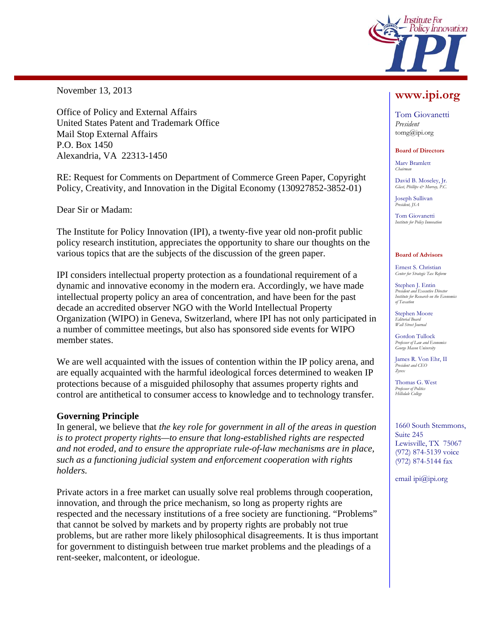

November 13, 2013

Office of Policy and External Affairs United States Patent and Trademark Office Mail Stop External Affairs P.O. Box 1450 Alexandria, VA 22313-1450

RE: Request for Comments on Department of Commerce Green Paper, Copyright Policy, Creativity, and Innovation in the Digital Economy (130927852-3852-01)

Dear Sir or Madam:

The Institute for Policy Innovation (IPI), a twenty-five year old non-profit public policy research institution, appreciates the opportunity to share our thoughts on the various topics that are the subjects of the discussion of the green paper.

IPI considers intellectual property protection as a foundational requirement of a dynamic and innovative economy in the modern era. Accordingly, we have made intellectual property policy an area of concentration, and have been for the past decade an accredited observer NGO with the World Intellectual Property Organization (WIPO) in Geneva, Switzerland, where IPI has not only participated in a number of committee meetings, but also has sponsored side events for WIPO member states.

We are well acquainted with the issues of contention within the IP policy arena, and are equally acquainted with the harmful ideological forces determined to weaken IP protections because of a misguided philosophy that assumes property rights and control are antithetical to consumer access to knowledge and to technology transfer.

## **Governing Principle**

In general, we believe that *the key role for government in all of the areas in question is to protect property rights—to ensure that long-established rights are respected and not eroded, and to ensure the appropriate rule-of-law mechanisms are in place, such as a functioning judicial system and enforcement cooperation with rights holders.* 

Private actors in a free market can usually solve real problems through cooperation, innovation, and through the price mechanism, so long as property rights are respected and the necessary institutions of a free society are functioning. "Problems" that cannot be solved by markets and by property rights are probably not true problems, but are rather more likely philosophical disagreements. It is thus important for government to distinguish between true market problems and the pleadings of a rent-seeker, malcontent, or ideologue.

# **www.ipi.org**

Tom Giovanetti *President*  tomg@ipi.org

**Board of Directors** 

Marv Bramlett *Chairman* 

David B. Moseley, Jr. *Glast, Phillips & Murray, P.C.* 

Joseph Sullivan *President, JSA* 

Tom Giovanetti **Institute for Policy Inno.** 

#### **Board of Advisors**

Ernest S. Christian *Center for Strategic Tax Reform* 

Stephen J. Entin *President and Executive Director Institute for Research on the Economics of Taxation* 

Stephen Moore *Editorial Board Wall Street Journal* 

Gordon Tullock *Professor of Law and Econ George Mason University* 

James R. Von Ehr, II *President and CEO Zyvex*

Thomas G. West *Professor of Politics Hillsdale College* 

1660 South Stemmons, Suite 245 Lewisville, TX 75067 (972) 874-5139 voice (972) 874-5144 fax

email ipi@ipi.org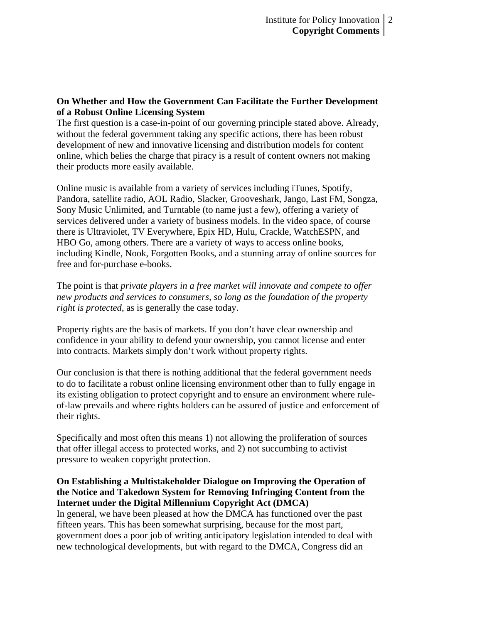# **On Whether and How the Government Can Facilitate the Further Development of a Robust Online Licensing System**

The first question is a case-in-point of our governing principle stated above. Already, without the federal government taking any specific actions, there has been robust development of new and innovative licensing and distribution models for content online, which belies the charge that piracy is a result of content owners not making their products more easily available.

Online music is available from a variety of services including iTunes, Spotify, Pandora, satellite radio, AOL Radio, Slacker, Grooveshark, Jango, Last FM, Songza, Sony Music Unlimited, and Turntable (to name just a few), offering a variety of services delivered under a variety of business models. In the video space, of course there is Ultraviolet, TV Everywhere, Epix HD, Hulu, Crackle, WatchESPN, and HBO Go, among others. There are a variety of ways to access online books, including Kindle, Nook, Forgotten Books, and a stunning array of online sources for free and for-purchase e-books.

The point is that *private players in a free market will innovate and compete to offer new products and services to consumers, so long as the foundation of the property right is protected*, as is generally the case today.

Property rights are the basis of markets. If you don't have clear ownership and confidence in your ability to defend your ownership, you cannot license and enter into contracts. Markets simply don't work without property rights.

Our conclusion is that there is nothing additional that the federal government needs to do to facilitate a robust online licensing environment other than to fully engage in its existing obligation to protect copyright and to ensure an environment where ruleof-law prevails and where rights holders can be assured of justice and enforcement of their rights.

Specifically and most often this means 1) not allowing the proliferation of sources that offer illegal access to protected works, and 2) not succumbing to activist pressure to weaken copyright protection.

# **On Establishing a Multistakeholder Dialogue on Improving the Operation of the Notice and Takedown System for Removing Infringing Content from the Internet under the Digital Millennium Copyright Act (DMCA)**

In general, we have been pleased at how the DMCA has functioned over the past fifteen years. This has been somewhat surprising, because for the most part, government does a poor job of writing anticipatory legislation intended to deal with new technological developments, but with regard to the DMCA, Congress did an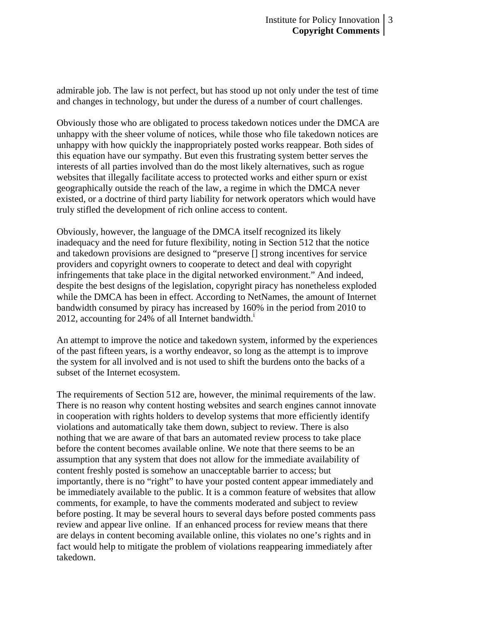admirable job. The law is not perfect, but has stood up not only under the test of time and changes in technology, but under the duress of a number of court challenges.

Obviously those who are obligated to process takedown notices under the DMCA are unhappy with the sheer volume of notices, while those who file takedown notices are unhappy with how quickly the inappropriately posted works reappear. Both sides of this equation have our sympathy. But even this frustrating system better serves the interests of all parties involved than do the most likely alternatives, such as rogue websites that illegally facilitate access to protected works and either spurn or exist geographically outside the reach of the law, a regime in which the DMCA never existed, or a doctrine of third party liability for network operators which would have truly stifled the development of rich online access to content.

Obviously, however, the language of the DMCA itself recognized its likely inadequacy and the need for future flexibility, noting in Section 512 that the notice and takedown provisions are designed to "preserve [] strong incentives for service providers and copyright owners to cooperate to detect and deal with copyright infringements that take place in the digital networked environment." And indeed, despite the best designs of the legislation, copyright piracy has nonetheless exploded while the DMCA has been in effect. According to NetNames, the amount of Internet bandwidth consumed by piracy has increased by 160% in the period from 2010 to  $2012$ , accounting for 24% of all Internet bandwidth.<sup>1</sup>

An attempt to improve the notice and takedown system, informed by the experiences of the past fifteen years, is a worthy endeavor, so long as the attempt is to improve the system for all involved and is not used to shift the burdens onto the backs of a subset of the Internet ecosystem.

The requirements of Section 512 are, however, the minimal requirements of the law. There is no reason why content hosting websites and search engines cannot innovate in cooperation with rights holders to develop systems that more efficiently identify violations and automatically take them down, subject to review. There is also nothing that we are aware of that bars an automated review process to take place before the content becomes available online. We note that there seems to be an assumption that any system that does not allow for the immediate availability of content freshly posted is somehow an unacceptable barrier to access; but importantly, there is no "right" to have your posted content appear immediately and be immediately available to the public. It is a common feature of websites that allow comments, for example, to have the comments moderated and subject to review before posting. It may be several hours to several days before posted comments pass review and appear live online. If an enhanced process for review means that there are delays in content becoming available online, this violates no one's rights and in fact would help to mitigate the problem of violations reappearing immediately after takedown.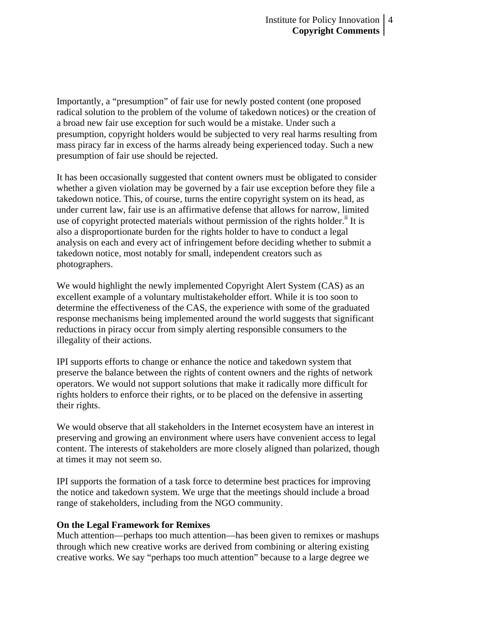Importantly, a "presumption" of fair use for newly posted content (one proposed radical solution to the problem of the volume of takedown notices) or the creation of a broad new fair use exception for such would be a mistake. Under such a presumption, copyright holders would be subjected to very real harms resulting from mass piracy far in excess of the harms already being experienced today. Such a new presumption of fair use should be rejected.

It has been occasionally suggested that content owners must be obligated to consider whether a given violation may be governed by a fair use exception before they file a takedown notice. This, of course, turns the entire copyright system on its head, as under current law, fair use is an affirmative defense that allows for narrow, limited use of copyright protected materials without permission of the rights holder.<sup>ii</sup> It is also a disproportionate burden for the rights holder to have to conduct a legal analysis on each and every act of infringement before deciding whether to submit a takedown notice, most notably for small, independent creators such as photographers.

We would highlight the newly implemented Copyright Alert System (CAS) as an excellent example of a voluntary multistakeholder effort. While it is too soon to determine the effectiveness of the CAS, the experience with some of the graduated response mechanisms being implemented around the world suggests that significant reductions in piracy occur from simply alerting responsible consumers to the illegality of their actions.

IPI supports efforts to change or enhance the notice and takedown system that preserve the balance between the rights of content owners and the rights of network operators. We would not support solutions that make it radically more difficult for rights holders to enforce their rights, or to be placed on the defensive in asserting their rights.

We would observe that all stakeholders in the Internet ecosystem have an interest in preserving and growing an environment where users have convenient access to legal content. The interests of stakeholders are more closely aligned than polarized, though at times it may not seem so.

IPI supports the formation of a task force to determine best practices for improving the notice and takedown system. We urge that the meetings should include a broad range of stakeholders, including from the NGO community.

## **On the Legal Framework for Remixes**

Much attention—perhaps too much attention—has been given to remixes or mashups through which new creative works are derived from combining or altering existing creative works. We say "perhaps too much attention" because to a large degree we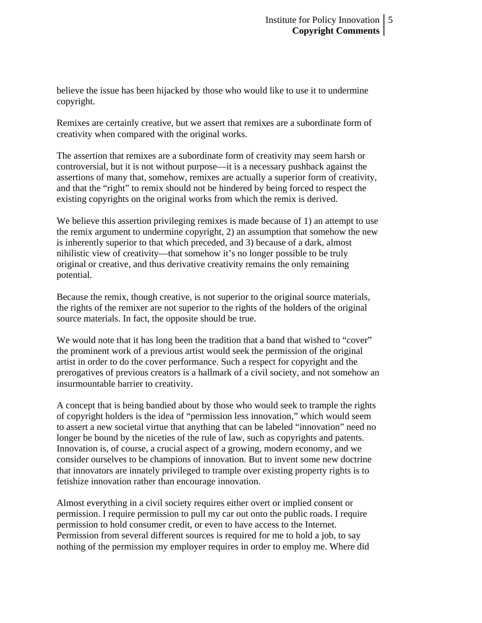believe the issue has been hijacked by those who would like to use it to undermine copyright.

Remixes are certainly creative, but we assert that remixes are a subordinate form of creativity when compared with the original works.

The assertion that remixes are a subordinate form of creativity may seem harsh or controversial, but it is not without purpose—it is a necessary pushback against the assertions of many that, somehow, remixes are actually a superior form of creativity, and that the "right" to remix should not be hindered by being forced to respect the existing copyrights on the original works from which the remix is derived.

We believe this assertion privileging remixes is made because of 1) an attempt to use the remix argument to undermine copyright, 2) an assumption that somehow the new is inherently superior to that which preceded, and 3) because of a dark, almost nihilistic view of creativity—that somehow it's no longer possible to be truly original or creative, and thus derivative creativity remains the only remaining potential.

Because the remix, though creative, is not superior to the original source materials, the rights of the remixer are not superior to the rights of the holders of the original source materials. In fact, the opposite should be true.

We would note that it has long been the tradition that a band that wished to "cover" the prominent work of a previous artist would seek the permission of the original artist in order to do the cover performance. Such a respect for copyright and the prerogatives of previous creators is a hallmark of a civil society, and not somehow an insurmountable barrier to creativity.

A concept that is being bandied about by those who would seek to trample the rights of copyright holders is the idea of "permission less innovation," which would seem to assert a new societal virtue that anything that can be labeled "innovation" need no longer be bound by the niceties of the rule of law, such as copyrights and patents. Innovation is, of course, a crucial aspect of a growing, modern economy, and we consider ourselves to be champions of innovation. But to invent some new doctrine that innovators are innately privileged to trample over existing property rights is to fetishize innovation rather than encourage innovation.

Almost everything in a civil society requires either overt or implied consent or permission. I require permission to pull my car out onto the public roads. I require permission to hold consumer credit, or even to have access to the Internet. Permission from several different sources is required for me to hold a job, to say nothing of the permission my employer requires in order to employ me. Where did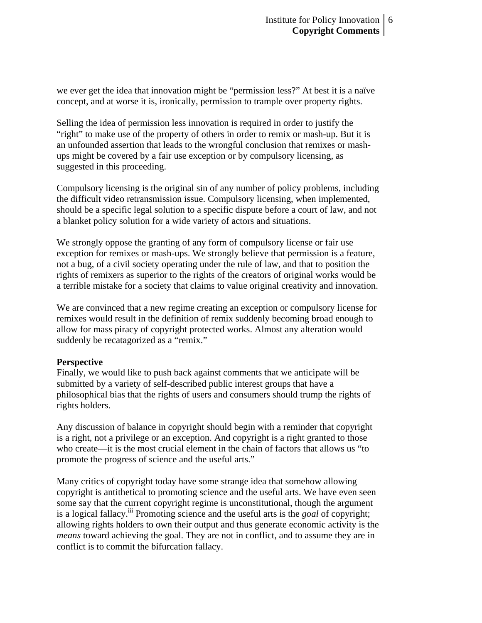we ever get the idea that innovation might be "permission less?" At best it is a naïve concept, and at worse it is, ironically, permission to trample over property rights.

Selling the idea of permission less innovation is required in order to justify the "right" to make use of the property of others in order to remix or mash-up. But it is an unfounded assertion that leads to the wrongful conclusion that remixes or mashups might be covered by a fair use exception or by compulsory licensing, as suggested in this proceeding.

Compulsory licensing is the original sin of any number of policy problems, including the difficult video retransmission issue. Compulsory licensing, when implemented, should be a specific legal solution to a specific dispute before a court of law, and not a blanket policy solution for a wide variety of actors and situations.

We strongly oppose the granting of any form of compulsory license or fair use exception for remixes or mash-ups. We strongly believe that permission is a feature, not a bug, of a civil society operating under the rule of law, and that to position the rights of remixers as superior to the rights of the creators of original works would be a terrible mistake for a society that claims to value original creativity and innovation.

We are convinced that a new regime creating an exception or compulsory license for remixes would result in the definition of remix suddenly becoming broad enough to allow for mass piracy of copyright protected works. Almost any alteration would suddenly be recatagorized as a "remix."

## **Perspective**

Finally, we would like to push back against comments that we anticipate will be submitted by a variety of self-described public interest groups that have a philosophical bias that the rights of users and consumers should trump the rights of rights holders.

Any discussion of balance in copyright should begin with a reminder that copyright is a right, not a privilege or an exception. And copyright is a right granted to those who create—it is the most crucial element in the chain of factors that allows us "to promote the progress of science and the useful arts."

Many critics of copyright today have some strange idea that somehow allowing copyright is antithetical to promoting science and the useful arts. We have even seen some say that the current copyright regime is unconstitutional, though the argument is a logical fallacy.<sup>iii</sup> Promoting science and the useful arts is the *goal* of copyright; allowing rights holders to own their output and thus generate economic activity is the *means* toward achieving the goal. They are not in conflict, and to assume they are in conflict is to commit the bifurcation fallacy.